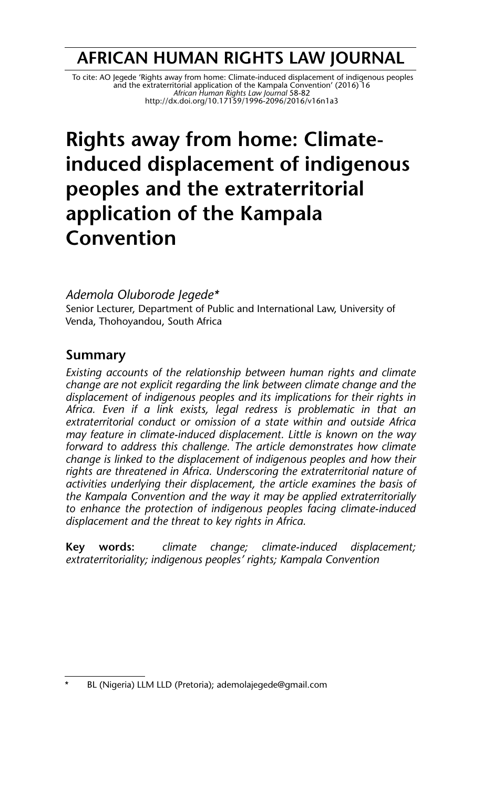# **AFRICAN HUMAN RIGHTS LAW JOURNAL**

To cite: AO Jegede 'Rights away from home: Climate-induced displacement of indigenous peoples<br>and the extraterritorial application of the Kampala Convention' (2016) 16<br>http://dx.doi.org/10.17159/1996-2096/2016/v16n1a3

# **Rights away from home: Climateinduced displacement of indigenous peoples and the extraterritorial application of the Kampala Convention**

*Ademola Oluborode Jegede\** Senior Lecturer, Department of Public and International Law, University of Venda, Thohoyandou, South Africa

# **Summary**

*Existing accounts of the relationship between human rights and climate change are not explicit regarding the link between climate change and the displacement of indigenous peoples and its implications for their rights in Africa. Even if a link exists, legal redress is problematic in that an extraterritorial conduct or omission of a state within and outside Africa may feature in climate-induced displacement. Little is known on the way forward to address this challenge. The article demonstrates how climate change is linked to the displacement of indigenous peoples and how their rights are threatened in Africa. Underscoring the extraterritorial nature of activities underlying their displacement, the article examines the basis of the Kampala Convention and the way it may be applied extraterritorially to enhance the protection of indigenous peoples facing climate-induced displacement and the threat to key rights in Africa.* 

**Key words:** *climate change; climate-induced displacement; extraterritoriality; indigenous peoples' rights; Kampala Convention*

BL (Nigeria) LLM LLD (Pretoria); ademolajegede@gmail.com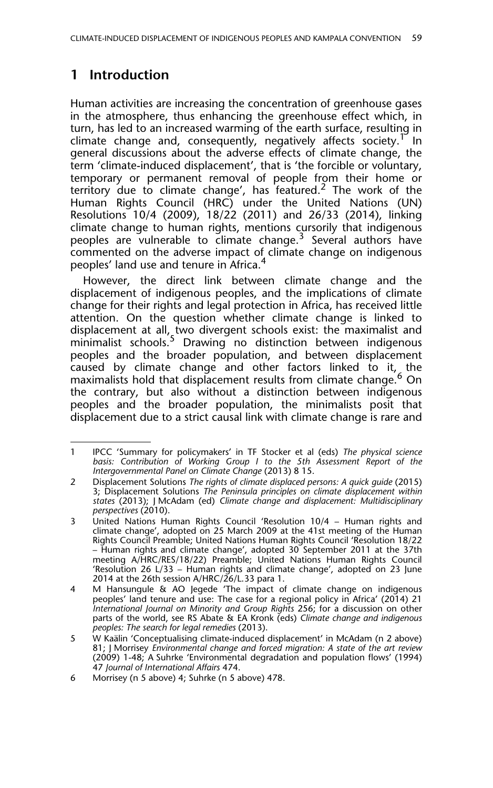# **1 Introduction**

Human activities are increasing the concentration of greenhouse gases in the atmosphere, thus enhancing the greenhouse effect which, in turn, has led to an increased warming of the earth surface, resulting in climate change and, consequently, negatively affects society.<sup>1</sup> In general discussions about the adverse effects of climate change, the term 'climate-induced displacement', that is 'the forcible or voluntary, temporary or permanent removal of people from their home or territory due to climate change', has featured.<sup>2</sup> The work of the Human Rights Council (HRC) under the United Nations (UN) Resolutions 10/4 (2009), 18/22 (2011) and 26/33 (2014), linking climate change to human rights, mentions cursorily that indigenous peoples are vulnerable to climate change.<sup>3</sup> Several authors have commented on the adverse impact of climate change on indigenous peoples' land use and tenure in Africa.<sup>4</sup>

However, the direct link between climate change and the displacement of indigenous peoples, and the implications of climate change for their rights and legal protection in Africa, has received little attention. On the question whether climate change is linked to displacement at all, two divergent schools exist: the maximalist and minimalist schools.<sup>5</sup> Drawing no distinction between indigenous peoples and the broader population, and between displacement caused by climate change and other factors linked to it, the maximalists hold that displacement results from climate change.<sup>6</sup> On the contrary, but also without a distinction between indigenous peoples and the broader population, the minimalists posit that displacement due to a strict causal link with climate change is rare and

<sup>1</sup> IPCC 'Summary for policymakers' in TF Stocker et al (eds) *The physical science basis: Contribution of Working Group I to the 5th Assessment Report of the Intergovernmental Panel on Climate Change* (2013) 8 15.

<sup>2</sup> Displacement Solutions *The rights of climate displaced persons: A quick guide* (2015) 3; Displacement Solutions *The Peninsula principles on climate displacement within states* (2013); J McAdam (ed) *Climate change and displacement: Multidisciplinary perspectives* (2010).

<sup>3</sup> United Nations Human Rights Council 'Resolution 10/4 – Human rights and climate change', adopted on 25 March 2009 at the 41st meeting of the Human Rights Council Preamble; United Nations Human Rights Council 'Resolution 18/22 – Human rights and climate change', adopted 30 September 2011 at the 37th meeting A/HRC/RES/18/22) Preamble; United Nations Human Rights Council 'Resolution 26 L/33 – Human rights and climate change', adopted on 23 June 2014 at the 26th session A/HRC/26/L.33 para 1.

<sup>4</sup> M Hansungule & AO Jegede 'The impact of climate change on indigenous peoples' land tenure and use: The case for a regional policy in Africa' (2014) 21 *International Journal on Minority and Group Rights* 256; for a discussion on other parts of the world, see RS Abate & EA Kronk (eds) *Climate change and indigenous peoples: The search for legal remedies* (2013).

<sup>5</sup> W Kaälin 'Conceptualising climate-induced displacement' in McAdam (n 2 above) 81; J Morrisey *Environmental change and forced migration: A state of the art review* (2009) 1-48; A Suhrke 'Environmental degradation and population flows' (1994) 47 *Journal of International Affairs* 474.

<sup>6</sup> Morrisey (n 5 above) 4; Suhrke (n 5 above) 478.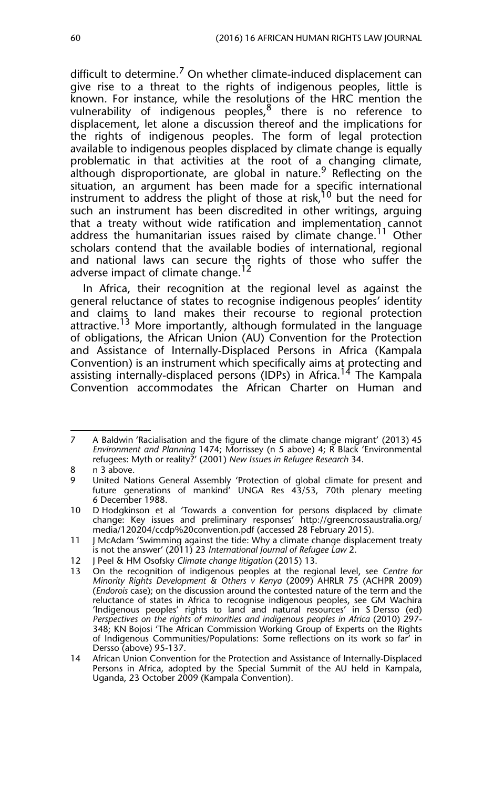difficult to determine.<sup>7</sup> On whether climate-induced displacement can give rise to a threat to the rights of indigenous peoples, little is known. For instance, while the resolutions of the HRC mention the vulnerability of indigenous peoples, $8$  there is no reference to displacement, let alone a discussion thereof and the implications for the rights of indigenous peoples. The form of legal protection available to indigenous peoples displaced by climate change is equally problematic in that activities at the root of a changing climate, although disproportionate, are global in nature.<sup>9</sup> Reflecting on the situation, an argument has been made for a specific international instrument to address the plight of those at risk,<sup>10</sup> but the need for such an instrument has been discredited in other writings, arguing that a treaty without wide ratification and implementation cannot address the humanitarian issues raised by climate change.<sup>11</sup> Other scholars contend that the available bodies of international, regional and national laws can secure the rights of those who suffer the adverse impact of climate change.<sup>12</sup>

In Africa, their recognition at the regional level as against the general reluctance of states to recognise indigenous peoples' identity and claims to land makes their recourse to regional protection attractive.<sup>13</sup> More importantly, although formulated in the language of obligations, the African Union (AU) Convention for the Protection and Assistance of Internally-Displaced Persons in Africa (Kampala Convention) is an instrument which specifically aims at protecting and assisting internally-displaced persons (IDPs) in Africa.<sup>14</sup> The Kampala Convention accommodates the African Charter on Human and

<sup>7</sup> A Baldwin 'Racialisation and the figure of the climate change migrant' (2013) 45 *Environment and Planning* 1474; Morrissey (n 5 above) 4; R Black 'Environmental refugees: Myth or reality?' (2001) *New Issues in Refugee Research* 34.

<sup>8</sup> n 3 above.

<sup>9</sup> United Nations General Assembly 'Protection of global climate for present and future generations of mankind' UNGA Res 43/53, 70th plenary meeting 6 December 1988.

<sup>10</sup> D Hodgkinson et al 'Towards a convention for persons displaced by climate change: Key issues and preliminary responses' http://greencrossaustralia.org/ media/120204/ccdp%20convention.pdf (accessed 28 February 2015).

<sup>11</sup> J McAdam 'Swimming against the tide: Why a climate change displacement treaty is not the answer' (2011) 23 *International Journal of Refugee Law* 2.

<sup>12</sup> J Peel & HM Osofsky *Climate change litigation* (2015) 13.

<sup>13</sup> On the recognition of indigenous peoples at the regional level, see *Centre for Minority Rights Development & Others v Kenya* (2009) AHRLR 75 (ACHPR 2009) (*Endorois* case); on the discussion around the contested nature of the term and the reluctance of states in Africa to recognise indigenous peoples, see GM Wachira 'Indigenous peoples' rights to land and natural resources' in S Dersso (ed) *Perspectives on the rights of minorities and indigenous peoples in Africa* (2010) 297- 348; KN Bojosi 'The African Commission Working Group of Experts on the Rights of Indigenous Communities/Populations: Some reflections on its work so far' in Dersso (above) 95-137.

<sup>14</sup> African Union Convention for the Protection and Assistance of Internally-Displaced Persons in Africa, adopted by the Special Summit of the AU held in Kampala, Uganda, 23 October 2009 (Kampala Convention).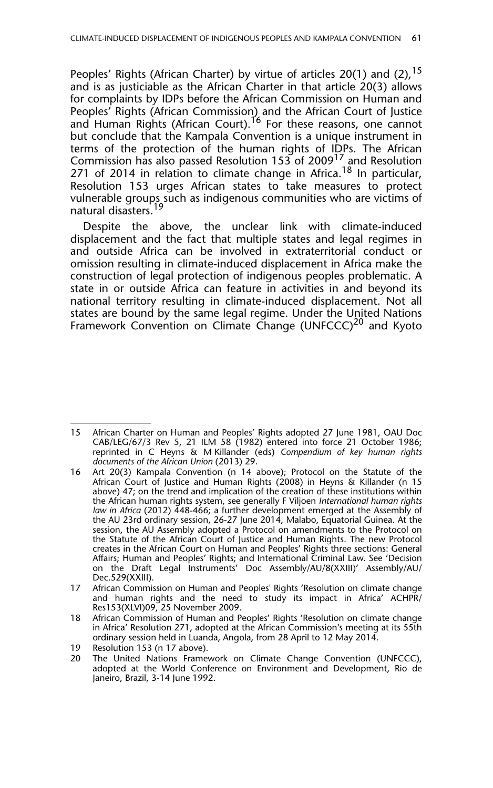Peoples' Rights (African Charter) by virtue of articles 20(1) and (2),  $15$ and is as justiciable as the African Charter in that article 20(3) allows for complaints by IDPs before the African Commission on Human and Peoples' Rights (African Commission) and the African Court of Justice and Human Rights (African Court).<sup>16</sup> For these reasons, one cannot but conclude that the Kampala Convention is a unique instrument in terms of the protection of the human rights of IDPs. The African Commission has also passed Resolution 153 of 2009<sup>17</sup> and Resolution 271 of 2014 in relation to climate change in Africa.<sup>18</sup> In particular, Resolution 153 urges African states to take measures to protect vulnerable groups such as indigenous communities who are victims of natural disasters.

Despite the above, the unclear link with climate-induced displacement and the fact that multiple states and legal regimes in and outside Africa can be involved in extraterritorial conduct or omission resulting in climate-induced displacement in Africa make the construction of legal protection of indigenous peoples problematic. A state in or outside Africa can feature in activities in and beyond its national territory resulting in climate-induced displacement. Not all states are bound by the same legal regime. Under the United Nations Framework Convention on Climate Change (UNFCCC)<sup>20</sup> and Kyoto

<sup>15</sup> African Charter on Human and Peoples' Rights adopted 27 June 1981, OAU Doc CAB/LEG/67/3 Rev 5, 21 ILM 58 (1982) entered into force 21 October 1986; reprinted in C Heyns & M Killander (eds) *Compendium of key human rights documents of the African Union* (2013) 29.

<sup>16</sup> Art 20(3) Kampala Convention (n 14 above); Protocol on the Statute of the African Court of Justice and Human Rights (2008) in Heyns & Killander (n 15 above) 47; on the trend and implication of the creation of these institutions within the African human rights system, see generally F Viljoen *International human rights law in Africa* (2012) 448-466; a further development emerged at the Assembly of the AU 23rd ordinary session, 26-27 June 2014, Malabo, Equatorial Guinea. At the session, the AU Assembly adopted a Protocol on amendments to the Protocol on the Statute of the African Court of Justice and Human Rights. The new Protocol creates in the African Court on Human and Peoples' Rights three sections: General Affairs; Human and Peoples' Rights; and International Criminal Law. See 'Decision on the Draft Legal Instruments' Doc Assembly/AU/8(XXIII)' Assembly/AU/ Dec.529(XXIII).

<sup>17</sup> African Commission on Human and Peoples' Rights 'Resolution on climate change and human rights and the need to study its impact in Africa' ACHPR/ Res153(XLVI)09, 25 November 2009.

<sup>18</sup> African Commission of Human and Peoples' Rights 'Resolution on climate change in Africa' Resolution 271, adopted at the African Commission's meeting at its 55th ordinary session held in Luanda, Angola, from 28 April to 12 May 2014.

<sup>19</sup> Resolution 153 (n 17 above).

<sup>20</sup> The United Nations Framework on Climate Change Convention (UNFCCC), adopted at the World Conference on Environment and Development, Rio de Janeiro, Brazil, 3-14 June 1992.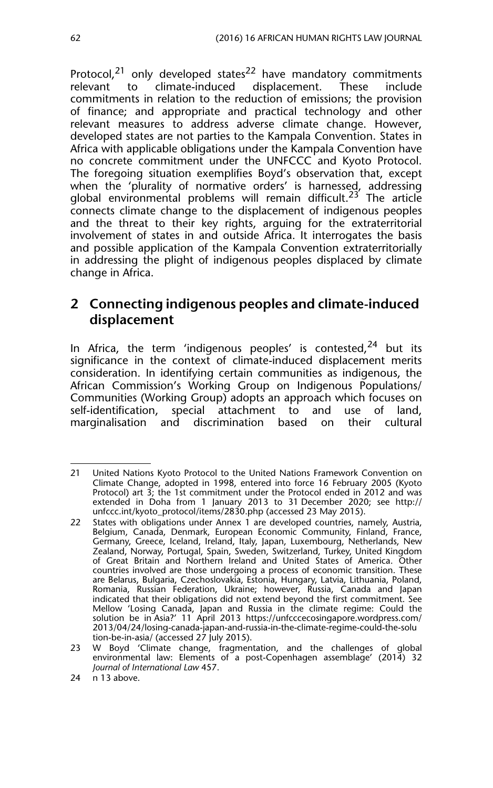Protocol,<sup>21</sup> only developed states<sup>22</sup> have mandatory commitments<br>relevant to climate-induced displacement. These include to climate-induced displacement. These include commitments in relation to the reduction of emissions; the provision of finance; and appropriate and practical technology and other relevant measures to address adverse climate change. However, developed states are not parties to the Kampala Convention. States in Africa with applicable obligations under the Kampala Convention have no concrete commitment under the UNFCCC and Kyoto Protocol. The foregoing situation exemplifies Boyd's observation that, except when the 'plurality of normative orders' is harnessed, addressing global environmental problems will remain difficult.<sup>23</sup> The article connects climate change to the displacement of indigenous peoples and the threat to their key rights, arguing for the extraterritorial involvement of states in and outside Africa. It interrogates the basis and possible application of the Kampala Convention extraterritorially in addressing the plight of indigenous peoples displaced by climate change in Africa.

## **2 Connecting indigenous peoples and climate-induced displacement**

In Africa, the term 'indigenous peoples' is contested,  $24$  but its significance in the context of climate-induced displacement merits consideration. In identifying certain communities as indigenous, the African Commission's Working Group on Indigenous Populations/ Communities (Working Group) adopts an approach which focuses on self-identification, special attachment to and use of land, marginalisation and discrimination based on their cultural

<sup>21</sup> United Nations Kyoto Protocol to the United Nations Framework Convention on Climate Change, adopted in 1998, entered into force 16 February 2005 (Kyoto Protocol) art 3; the 1st commitment under the Protocol ended in 2012 and was extended in Doha from 1 January 2013 to 31 December 2020; see http:// unfccc.int/kyoto\_protocol/items/2830.php (accessed 23 May 2015).

<sup>22</sup> States with obligations under Annex 1 are developed countries, namely, Austria, Belgium, Canada, Denmark, European Economic Community, Finland, France, Germany, Greece, Iceland, Ireland, Italy, Japan, Luxembourg, Netherlands, New Zealand, Norway, Portugal, Spain, Sweden, Switzerland, Turkey, United Kingdom of Great Britain and Northern Ireland and United States of America. Other countries involved are those undergoing a process of economic transition. These are Belarus, Bulgaria, Czechoslovakia, Estonia, Hungary, Latvia, Lithuania, Poland, Romania, Russian Federation, Ukraine; however, Russia, Canada and Japan indicated that their obligations did not extend beyond the first commitment. See Mellow 'Losing Canada, Japan and Russia in the climate regime: Could the solution be in Asia?' 11 April 2013 https://unfcccecosingapore.wordpress.com/ 2013/04/24/losing-canada-japan-and-russia-in-the-climate-regime-could-the-solu tion-be-in-asia/ (accessed 27 July 2015).

<sup>23</sup> W Boyd 'Climate change, fragmentation, and the challenges of global environmental law: Elements of a post-Copenhagen assemblage' (2014) 32 *Journal of International Law* 457.

<sup>24</sup> n 13 above.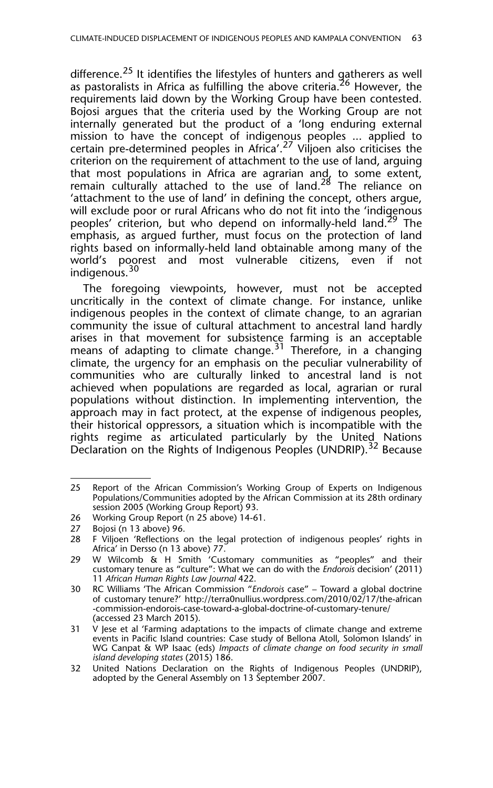difference.<sup>25</sup> It identifies the lifestyles of hunters and gatherers as well as pastoralists in Africa as fulfilling the above criteria.<sup>26</sup> However, the requirements laid down by the Working Group have been contested. Bojosi argues that the criteria used by the Working Group are not internally generated but the product of a 'long enduring external mission to have the concept of indigenous peoples ... applied to certain pre-determined peoples in Africa'.<sup>27</sup> Viljoen also criticises the criterion on the requirement of attachment to the use of land, arguing that most populations in Africa are agrarian and, to some extent, remain culturally attached to the use of land.<sup>28</sup> The reliance on 'attachment to the use of land' in defining the concept, others argue, will exclude poor or rural Africans who do not fit into the 'indigenous peoples' criterion, but who depend on informally-held land.<sup>29</sup> The emphasis, as argued further, must focus on the protection of land rights based on informally-held land obtainable among many of the world's poorest and most vulnerable citizens, even if not indigenous.<sup>30</sup>

The foregoing viewpoints, however, must not be accepted uncritically in the context of climate change. For instance, unlike indigenous peoples in the context of climate change, to an agrarian community the issue of cultural attachment to ancestral land hardly arises in that movement for subsistence farming is an acceptable means of adapting to climate change.<sup>31</sup> Therefore, in a changing climate, the urgency for an emphasis on the peculiar vulnerability of communities who are culturally linked to ancestral land is not achieved when populations are regarded as local, agrarian or rural populations without distinction. In implementing intervention, the approach may in fact protect, at the expense of indigenous peoples, their historical oppressors, a situation which is incompatible with the rights regime as articulated particularly by the United Nations Declaration on the Rights of Indigenous Peoples (UNDRIP).<sup>32</sup> Because

<sup>25</sup> Report of the African Commission's Working Group of Experts on Indigenous Populations/Communities adopted by the African Commission at its 28th ordinary session 2005 (Working Group Report) 93.

<sup>26</sup> Working Group Report (n 25 above) 14-61.

<sup>27</sup> Bojosi (n 13 above) 96.

<sup>28</sup> F Viljoen 'Reflections on the legal protection of indigenous peoples' rights in Africa' in Dersso (n 13 above) 77.

<sup>29</sup> W Wilcomb & H Smith 'Customary communities as "peoples" and their customary tenure as "culture": What we can do with the *Endorois* decision' (2011) 11 *African Human Rights Law Journal* 422.

<sup>30</sup> RC Williams 'The African Commission "*Endorois* case" – Toward a global doctrine of customary tenure?' http://terra0nullius.wordpress.com/2010/02/17/the-african -commission-endorois-case-toward-a-global-doctrine-of-customary-tenure/ (accessed 23 March 2015).

<sup>31</sup> V Jese et al 'Farming adaptations to the impacts of climate change and extreme events in Pacific Island countries: Case study of Bellona Atoll, Solomon Islands' in WG Canpat & WP Isaac (eds) *Impacts of climate change on food security in small island developing states* (2015) 186.

<sup>32</sup> United Nations Declaration on the Rights of Indigenous Peoples (UNDRIP), adopted by the General Assembly on 13 September 2007.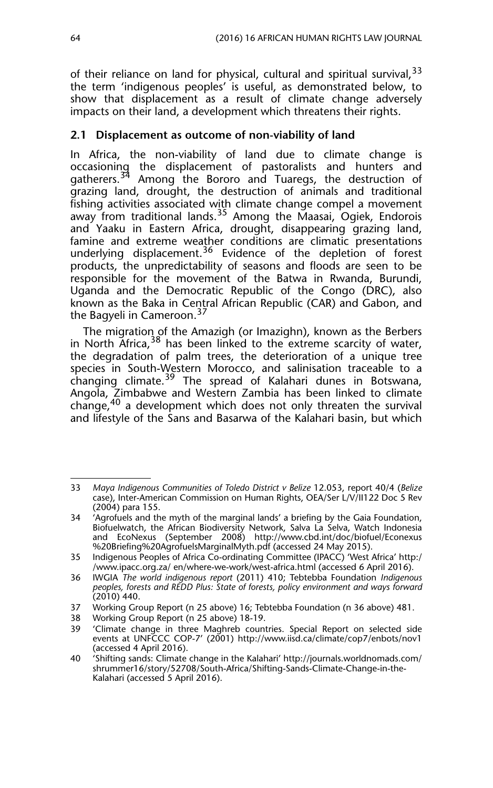of their reliance on land for physical, cultural and spiritual survival,  $33$ the term 'indigenous peoples' is useful, as demonstrated below, to show that displacement as a result of climate change adversely impacts on their land, a development which threatens their rights.

#### **2.1 Displacement as outcome of non-viability of land**

In Africa, the non-viability of land due to climate change is occasioning the displacement of pastoralists and hunters and gatherers.<sup>34</sup> Among the Bororo and Tuaregs, the destruction of grazing land, drought, the destruction of animals and traditional fishing activities associated with climate change compel a movement away from traditional lands.<sup>35</sup> Among the Maasai, Ogiek, Endorois and Yaaku in Eastern Africa, drought, disappearing grazing land, famine and extreme weather conditions are climatic presentations underlying displacement.<sup>36</sup> Evidence of the depletion of forest products, the unpredictability of seasons and floods are seen to be responsible for the movement of the Batwa in Rwanda, Burundi, Uganda and the Democratic Republic of the Congo (DRC), also known as the Baka in Central African Republic (CAR) and Gabon, and the Bagyeli in Cameroon.<sup>37</sup>

The migration of the Amazigh (or Imazighn), known as the Berbers in North Africa,  $38$  has been linked to the extreme scarcity of water, the degradation of palm trees, the deterioration of a unique tree species in South-Western Morocco, and salinisation traceable to a changing climate.<sup>39</sup> The spread of Kalahari dunes in Botswana, Angola, Zimbabwe and Western Zambia has been linked to climate change,40 a development which does not only threaten the survival and lifestyle of the Sans and Basarwa of the Kalahari basin, but which

37 Working Group Report (n 25 above) 16; Tebtebba Foundation (n 36 above) 481.

<sup>33</sup> *Maya Indigenous Communities of Toledo District v Belize* 12.053, report 40/4 (*Belize* case), Inter-American Commission on Human Rights, OEA/Ser L/V/II122 Doc 5 Rev (2004) para 155.

<sup>34 &#</sup>x27;Agrofuels and the myth of the marginal lands' a briefing by the Gaia Foundation, Biofuelwatch, the African Biodiversity Network, Salva La Selva, Watch Indonesia and EcoNexus (September 2008) http://www.cbd.int/doc/biofuel/Econexus %20Briefing%20AgrofuelsMarginalMyth.pdf (accessed 24 May 2015).

<sup>35</sup> Indigenous Peoples of Africa Co-ordinating Committee (IPACC) 'West Africa' http:/ /www.ipacc.org.za/ en/where-we-work/west-africa.html (accessed 6 April 2016).

<sup>36</sup> IWGIA *The world indigenous report* (2011) 410; Tebtebba Foundation *Indigenous peoples, forests and REDD Plus: State of forests, policy environment and ways forward* (2010) 440.

<sup>38</sup> Working Group Report (n 25 above) 18-19.

<sup>39 &#</sup>x27;Climate change in three Maghreb countries. Special Report on selected side events at UNFCCC COP-7' (2001) http://www.iisd.ca/climate/cop7/enbots/nov1 (accessed 4 April 2016).

<sup>40 &#</sup>x27;Shifting sands: Climate change in the Kalahari' http://journals.worldnomads.com/ shrummer16/story/52708/South-Africa/Shifting-Sands-Climate-Change-in-the-Kalahari (accessed 5 April 2016).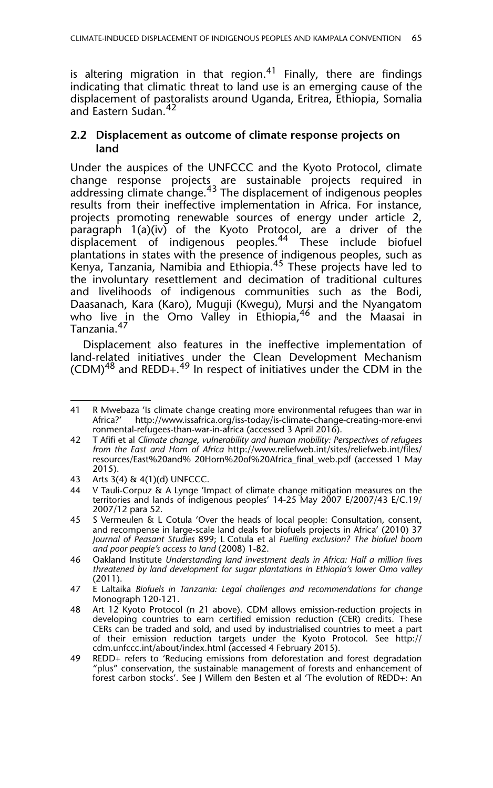is altering migration in that region.<sup>41</sup> Finally, there are findings indicating that climatic threat to land use is an emerging cause of the displacement of pastoralists around Uganda, Eritrea, Ethiopia, Somalia and Eastern Sudan.<sup>42</sup>

#### **2.2 Displacement as outcome of climate response projects on land**

Under the auspices of the UNFCCC and the Kyoto Protocol, climate change response projects are sustainable projects required in addressing climate change.<sup>43</sup> The displacement of indigenous peoples results from their ineffective implementation in Africa. For instance, projects promoting renewable sources of energy under article 2, paragraph 1(a)(iv) of the Kyoto Protocol, are a driver of the displacement of indigenous peoples.<sup>44</sup> These include biofuel plantations in states with the presence of indigenous peoples, such as Kenya, Tanzania, Namibia and Ethiopia.45 These projects have led to the involuntary resettlement and decimation of traditional cultures and livelihoods of indigenous communities such as the Bodi, Daasanach, Kara (Karo), Muguji (Kwegu), Mursi and the Nyangatom who live in the Omo Valley in Ethiopia,<sup>46</sup> and the Maasai in Tanzania.47

Displacement also features in the ineffective implementation of land-related initiatives under the Clean Development Mechanism  $\text{(CDM)}^{48}$  and REDD+.<sup>49</sup> In respect of initiatives under the CDM in the

<sup>41</sup> R Mwebaza 'Is climate change creating more environmental refugees than war in Africa?' http://www.issafrica.org/iss-today/is-climate-change-creating-more-envi ronmental-refugees-than-war-in-africa (accessed 3 April 2016).

<sup>42</sup> T Afifi et al *Climate change, vulnerability and human mobility: Perspectives of refugees from the East and Horn of Africa* http://www.reliefweb.int/sites/reliefweb.int/files/ resources/East%20and% 20Horn%20of%20Africa\_final\_web.pdf (accessed 1 May 2015).

<sup>43</sup> Arts 3(4) & 4(1)(d) UNFCCC.

<sup>44</sup> V Tauli-Corpuz & A Lynge 'Impact of climate change mitigation measures on the territories and lands of indigenous peoples' 14-25 May 2007 E/2007/43 E/C.19/ 2007/12 para 52.

<sup>45</sup> S Vermeulen & L Cotula 'Over the heads of local people: Consultation, consent, and recompense in large-scale land deals for biofuels projects in Africa' (2010) 37 *Journal of Peasant Studies* 899; L Cotula et al *Fuelling exclusion? The biofuel boom and poor people's access to land* (2008) 1-82.

<sup>46</sup> Oakland Institute *Understanding land investment deals in Africa: Half a million lives threatened by land development for sugar plantations in Ethiopia's lower Omo valley* (2011).

<sup>47</sup> E Laltaika *Biofuels in Tanzania: Legal challenges and recommendations for change* Monograph 120-121.

<sup>48</sup> Art 12 Kyoto Protocol (n 21 above). CDM allows emission-reduction projects in developing countries to earn certified emission reduction (CER) credits. These CERs can be traded and sold, and used by industrialised countries to meet a part of their emission reduction targets under the Kyoto Protocol. See http:// cdm.unfccc.int/about/index.html (accessed 4 February 2015).

<sup>49</sup> REDD+ refers to 'Reducing emissions from deforestation and forest degradation "plus" conservation, the sustainable management of forests and enhancement of forest carbon stocks'. See J Willem den Besten et al 'The evolution of REDD+: An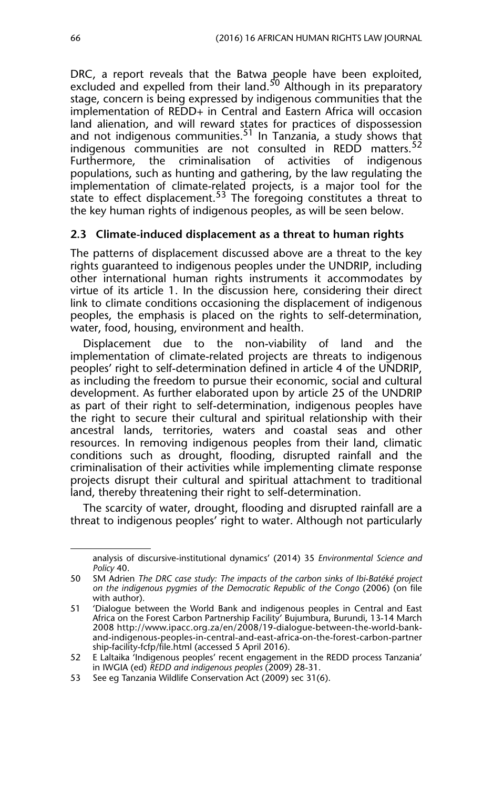DRC, a report reveals that the Batwa people have been exploited, excluded and expelled from their land.<sup>50</sup> Although in its preparatory stage, concern is being expressed by indigenous communities that the implementation of REDD+ in Central and Eastern Africa will occasion land alienation, and will reward states for practices of dispossession and not indigenous communities.<sup>51</sup> In Tanzania, a study shows that indigenous communities are not consulted in REDD matters.<sup>52</sup> Furthermore, the criminalisation of activities of indigenous populations, such as hunting and gathering, by the law regulating the implementation of climate-related projects, is a major tool for the state to effect displacement.<sup>53</sup> The foregoing constitutes a threat to the key human rights of indigenous peoples, as will be seen below.

#### **2.3 Climate-induced displacement as a threat to human rights**

The patterns of displacement discussed above are a threat to the key rights guaranteed to indigenous peoples under the UNDRIP, including other international human rights instruments it accommodates by virtue of its article 1. In the discussion here, considering their direct link to climate conditions occasioning the displacement of indigenous peoples, the emphasis is placed on the rights to self-determination, water, food, housing, environment and health.

Displacement due to the non-viability of land and the implementation of climate-related projects are threats to indigenous peoples' right to self-determination defined in article 4 of the UNDRIP, as including the freedom to pursue their economic, social and cultural development. As further elaborated upon by article 25 of the UNDRIP as part of their right to self-determination, indigenous peoples have the right to secure their cultural and spiritual relationship with their ancestral lands, territories, waters and coastal seas and other resources. In removing indigenous peoples from their land, climatic conditions such as drought, flooding, disrupted rainfall and the criminalisation of their activities while implementing climate response projects disrupt their cultural and spiritual attachment to traditional land, thereby threatening their right to self-determination.

The scarcity of water, drought, flooding and disrupted rainfall are a threat to indigenous peoples' right to water. Although not particularly

<sup>49</sup> analysis of discursive-institutional dynamics' (2014) 35 *Environmental Science and Policy* 40.

<sup>50</sup> SM Adrien *The DRC case study: The impacts of the carbon sinks of Ibi-Batéké project on the indigenous pygmies of the Democratic Republic of the Congo* (2006) (on file with author).

<sup>51 &#</sup>x27;Dialogue between the World Bank and indigenous peoples in Central and East Africa on the Forest Carbon Partnership Facility' Bujumbura, Burundi, 13-14 March 2008 http://www.ipacc.org.za/en/2008/19-dialogue-between-the-world-bankand-indigenous-peoples-in-central-and-east-africa-on-the-forest-carbon-partner ship-facility-fcfp/file.html (accessed 5 April 2016).

<sup>52</sup> E Laltaika 'Indigenous peoples' recent engagement in the REDD process Tanzania' in IWGIA (ed) *REDD and indigenous peoples* (2009) 28-31.

<sup>53</sup> See eg Tanzania Wildlife Conservation Act (2009) sec 31(6).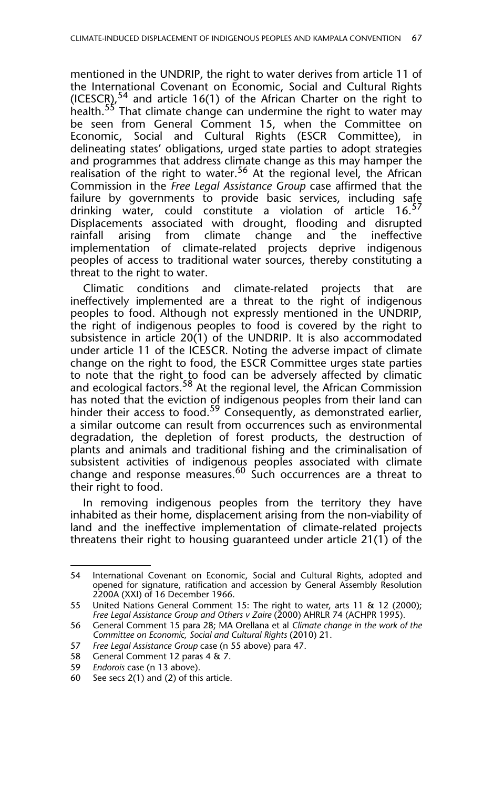mentioned in the UNDRIP, the right to water derives from article 11 of the International Covenant on Economic, Social and Cultural Rights (ICESCR),<sup>54</sup> and article 16(1) of the African Charter on the right to health.<sup>55</sup> That climate change can undermine the right to water may be seen from General Comment 15, when the Committee on Economic, Social and Cultural Rights (ESCR Committee), in delineating states' obligations, urged state parties to adopt strategies and programmes that address climate change as this may hamper the realisation of the right to water.<sup>56</sup> At the regional level, the African Commission in the *Free Legal Assistance Group* case affirmed that the failure by governments to provide basic services, including safe drinking water, could constitute a violation of article  $16.57$ Displacements associated with drought, flooding and disrupted rainfall arising from climate change and the ineffective implementation of climate-related projects deprive indigenous peoples of access to traditional water sources, thereby constituting a threat to the right to water.

Climatic conditions and climate-related projects that are ineffectively implemented are a threat to the right of indigenous peoples to food. Although not expressly mentioned in the UNDRIP, the right of indigenous peoples to food is covered by the right to subsistence in article 20(1) of the UNDRIP. It is also accommodated under article 11 of the ICESCR. Noting the adverse impact of climate change on the right to food, the ESCR Committee urges state parties to note that the right to food can be adversely affected by climatic and ecological factors.<sup>58</sup> At the regional level, the African Commission has noted that the eviction of indigenous peoples from their land can hinder their access to food.<sup>59</sup> Consequently, as demonstrated earlier, a similar outcome can result from occurrences such as environmental degradation, the depletion of forest products, the destruction of plants and animals and traditional fishing and the criminalisation of subsistent activities of indigenous peoples associated with climate change and response measures.<sup>60</sup> Such occurrences are a threat to their right to food.

In removing indigenous peoples from the territory they have inhabited as their home, displacement arising from the non-viability of land and the ineffective implementation of climate-related projects threatens their right to housing guaranteed under article 21(1) of the

<sup>54</sup> International Covenant on Economic, Social and Cultural Rights, adopted and opened for signature, ratification and accession by General Assembly Resolution 2200A (XXI) of 16 December 1966.

<sup>55</sup> United Nations General Comment 15: The right to water, arts 11 & 12 (2000); *Free Legal Assistance Group and Others v Zaire* (2000) AHRLR 74 (ACHPR 1995).

<sup>56</sup> General Comment 15 para 28; MA Orellana et al *Climate change in the work of the Committee on Economic, Social and Cultural Rights* (2010) 21.

<sup>57</sup> *Free Legal Assistance Group* case (n 55 above) para 47.

<sup>58</sup> General Comment 12 paras 4 & 7.

<sup>59</sup> *Endorois* case (n 13 above).

<sup>60</sup> See secs 2(1) and (2) of this article.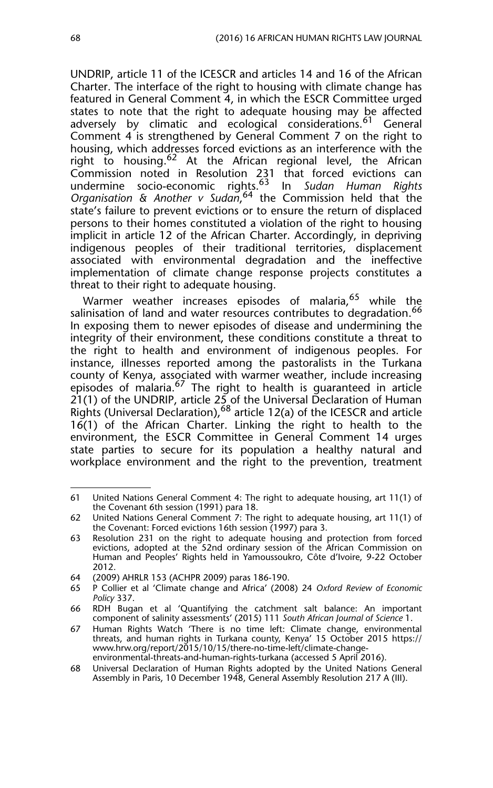UNDRIP, article 11 of the ICESCR and articles 14 and 16 of the African Charter. The interface of the right to housing with climate change has featured in General Comment 4, in which the ESCR Committee urged states to note that the right to adequate housing may be affected adversely by climatic and ecological considerations.<sup>61</sup> General Comment 4 is strengthened by General Comment 7 on the right to housing, which addresses forced evictions as an interference with the right to housing.<sup>62</sup> At the African regional level, the African Commission noted in Resolution 231 that forced evictions can undermine socio-economic rights.63 In *Sudan Human Rights Organisation & Another v Sudan*, 64 the Commission held that the state's failure to prevent evictions or to ensure the return of displaced persons to their homes constituted a violation of the right to housing implicit in article 12 of the African Charter. Accordingly, in depriving indigenous peoples of their traditional territories, displacement associated with environmental degradation and the ineffective implementation of climate change response projects constitutes a threat to their right to adequate housing.

Warmer weather increases episodes of malaria,<sup>65</sup> while the salinisation of land and water resources contributes to degradation.<sup>66</sup> In exposing them to newer episodes of disease and undermining the integrity of their environment, these conditions constitute a threat to the right to health and environment of indigenous peoples. For instance, illnesses reported among the pastoralists in the Turkana county of Kenya, associated with warmer weather, include increasing episodes of malaria.<sup>67</sup> The right to health is quaranteed in article 21(1) of the UNDRIP, article 25 of the Universal Declaration of Human Rights (Universal Declaration),  $68$  article 12(a) of the ICESCR and article 16(1) of the African Charter. Linking the right to health to the environment, the ESCR Committee in General Comment 14 urges state parties to secure for its population a healthy natural and workplace environment and the right to the prevention, treatment

<sup>61</sup> United Nations General Comment 4: The right to adequate housing, art 11(1) of the Covenant 6th session (1991) para 18.

<sup>62</sup> United Nations General Comment 7: The right to adequate housing, art 11(1) of the Covenant: Forced evictions 16th session (1997) para 3.

<sup>63</sup> Resolution 231 on the right to adequate housing and protection from forced evictions, adopted at the 52nd ordinary session of the African Commission on Human and Peoples' Rights held in Yamoussoukro, Côte d'Ivoire, 9-22 October 2012.

<sup>64 (2009)</sup> AHRLR 153 (ACHPR 2009) paras 186-190.

<sup>65</sup> P Collier et al 'Climate change and Africa' (2008) 24 *Oxford Review of Economic Policy* 337.

<sup>66</sup> RDH Bugan et al 'Quantifying the catchment salt balance: An important component of salinity assessments' (2015) 111 *South African Journal of Science* 1.

<sup>67</sup> Human Rights Watch 'There is no time left: Climate change, environmental threats, and human rights in Turkana county, Kenya' 15 October 2015 https:// www.hrw.org/report/2015/10/15/there-no-time-left/climate-changeenvironmental-threats-and-human-rights-turkana (accessed 5 April 2016).

<sup>68</sup> Universal Declaration of Human Rights adopted by the United Nations General Assembly in Paris, 10 December 1948, General Assembly Resolution 217 A (III).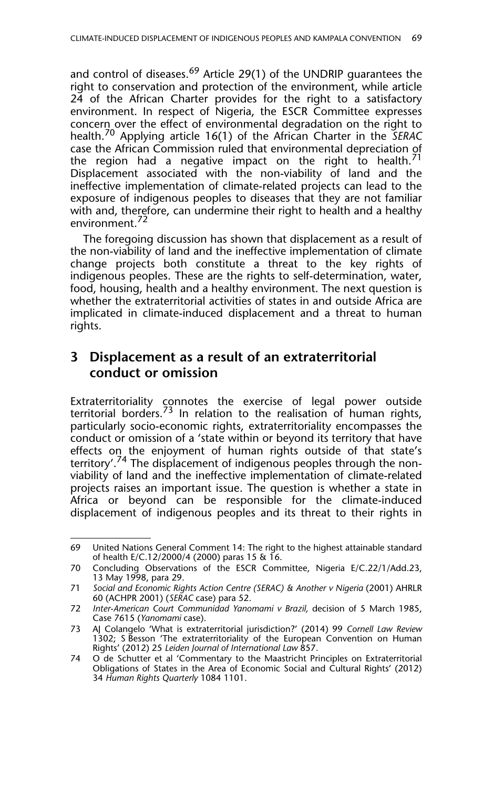and control of diseases.<sup>69</sup> Article 29(1) of the UNDRIP quarantees the right to conservation and protection of the environment, while article 24 of the African Charter provides for the right to a satisfactory environment. In respect of Nigeria, the ESCR Committee expresses concern over the effect of environmental degradation on the right to health.70 Applying article 16(1) of the African Charter in the *SERAC* case the African Commission ruled that environmental depreciation of the region had a negative impact on the right to health.<sup>71</sup> Displacement associated with the non-viability of land and the ineffective implementation of climate-related projects can lead to the exposure of indigenous peoples to diseases that they are not familiar with and, therefore, can undermine their right to health and a healthy environment.<sup>72</sup>

The foregoing discussion has shown that displacement as a result of the non-viability of land and the ineffective implementation of climate change projects both constitute a threat to the key rights of indigenous peoples. These are the rights to self-determination, water, food, housing, health and a healthy environment. The next question is whether the extraterritorial activities of states in and outside Africa are implicated in climate-induced displacement and a threat to human rights.

## **3 Displacement as a result of an extraterritorial conduct or omission**

Extraterritoriality connotes the exercise of legal power outside territorial borders.<sup>73</sup> In relation to the realisation of human rights, particularly socio-economic rights, extraterritoriality encompasses the conduct or omission of a 'state within or beyond its territory that have effects on the enjoyment of human rights outside of that state's territory'.<sup>74</sup> The displacement of indigenous peoples through the nonviability of land and the ineffective implementation of climate-related projects raises an important issue. The question is whether a state in Africa or beyond can be responsible for the climate-induced displacement of indigenous peoples and its threat to their rights in

<sup>69</sup> United Nations General Comment 14: The right to the highest attainable standard of health E/C.12/2000/4 (2000) paras 15 & 16.

<sup>70</sup> Concluding Observations of the ESCR Committee, Nigeria E/C.22/1/Add.23, 13 May 1998, para 29.

<sup>71</sup> *Social and Economic Rights Action Centre (SERAC) & Another v Nigeria* (2001) AHRLR 60 (ACHPR 2001) (*SERAC* case) para 52.

<sup>72</sup> *Inter-American Court Communidad Yanomami v Brazil,* decision of 5 March 1985, Case 7615 (*Yanomami* case).

<sup>73</sup> AJ Colangelo 'What is extraterritorial jurisdiction?' (2014) 99 *Cornell Law Review* 1302; S Besson 'The extraterritoriality of the European Convention on Human Rights' (2012) 25 *Leiden Journal of International Law* 857.

<sup>74</sup> O de Schutter et al 'Commentary to the Maastricht Principles on Extraterritorial Obligations of States in the Area of Economic Social and Cultural Rights' (2012) 34 *Human Rights Quarterly* 1084 1101.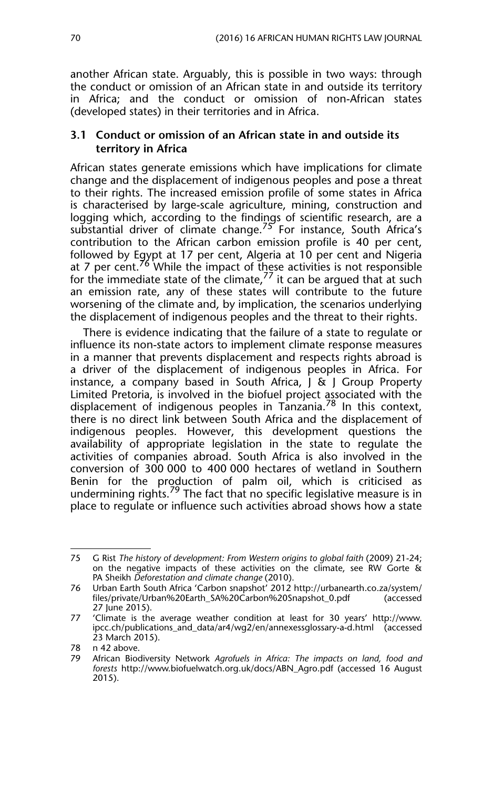another African state. Arguably, this is possible in two ways: through the conduct or omission of an African state in and outside its territory in Africa; and the conduct or omission of non-African states (developed states) in their territories and in Africa.

#### **3.1 Conduct or omission of an African state in and outside its territory in Africa**

African states generate emissions which have implications for climate change and the displacement of indigenous peoples and pose a threat to their rights. The increased emission profile of some states in Africa is characterised by large-scale agriculture, mining, construction and logging which, according to the findings of scientific research, are a substantial driver of climate change.<sup>75</sup> For instance, South Africa's contribution to the African carbon emission profile is 40 per cent, followed by Egypt at 17 per cent, Algeria at 10 per cent and Nigeria at 7 per cent.<sup>76</sup> While the impact of these activities is not responsible for the immediate state of the climate, $^{77}$  it can be argued that at such an emission rate, any of these states will contribute to the future worsening of the climate and, by implication, the scenarios underlying the displacement of indigenous peoples and the threat to their rights.

There is evidence indicating that the failure of a state to regulate or influence its non-state actors to implement climate response measures in a manner that prevents displacement and respects rights abroad is a driver of the displacement of indigenous peoples in Africa. For instance, a company based in South Africa, J & J Group Property Limited Pretoria, is involved in the biofuel project associated with the displacement of indigenous peoples in Tanzania.78 In this context, there is no direct link between South Africa and the displacement of indigenous peoples. However, this development questions the availability of appropriate legislation in the state to regulate the activities of companies abroad. South Africa is also involved in the conversion of 300 000 to 400 000 hectares of wetland in Southern Benin for the production of palm oil, which is criticised as undermining rights.<sup>79</sup> The fact that no specific legislative measure is in place to regulate or influence such activities abroad shows how a state

<sup>75</sup> G Rist *The history of development: From Western origins to global faith* (2009) 21-24; on the negative impacts of these activities on the climate, see RW Gorte & PA Sheikh *Deforestation and climate change* (2010).

<sup>76</sup> Urban Earth South Africa 'Carbon snapshot' 2012 http://urbanearth.co.za/system/ files/private/Urban%20Earth\_SA%20Carbon%20Snapshot\_0.pdf 27 June 2015).

<sup>77 &#</sup>x27;Climate is the average weather condition at least for 30 years' http://www. ipcc.ch/publications\_and\_data/ar4/wg2/en/annexessglossary-a-d.html (accessed 23 March 2015).

<sup>78</sup> n 42 above.

<sup>79</sup> African Biodiversity Network *Agrofuels in Africa: The impacts on land, food and forests* http://www.biofuelwatch.org.uk/docs/ABN\_Agro.pdf (accessed 16 August 2015).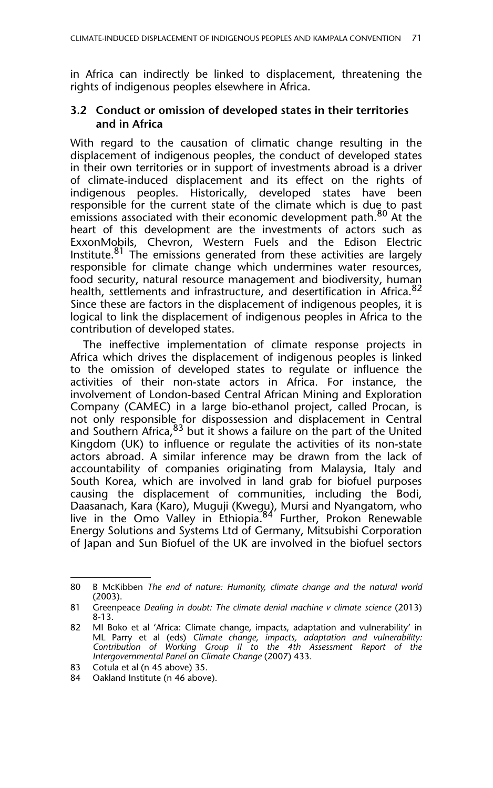in Africa can indirectly be linked to displacement, threatening the rights of indigenous peoples elsewhere in Africa.

#### **3.2 Conduct or omission of developed states in their territories and in Africa**

With regard to the causation of climatic change resulting in the displacement of indigenous peoples, the conduct of developed states in their own territories or in support of investments abroad is a driver of climate-induced displacement and its effect on the rights of indigenous peoples. Historically, developed states have been responsible for the current state of the climate which is due to past emissions associated with their economic development path.<sup>80</sup> At the heart of this development are the investments of actors such as ExxonMobils, Chevron, Western Fuels and the Edison Electric Institute.<sup>81</sup> The emissions generated from these activities are largely responsible for climate change which undermines water resources, food security, natural resource management and biodiversity, human health, settlements and infrastructure, and desertification in Africa.<sup>82</sup> Since these are factors in the displacement of indigenous peoples, it is logical to link the displacement of indigenous peoples in Africa to the contribution of developed states.

The ineffective implementation of climate response projects in Africa which drives the displacement of indigenous peoples is linked to the omission of developed states to regulate or influence the activities of their non-state actors in Africa. For instance, the involvement of London-based Central African Mining and Exploration Company (CAMEC) in a large bio-ethanol project, called Procan, is not only responsible for dispossession and displacement in Central and Southern Africa,  $83$  but it shows a failure on the part of the United Kingdom (UK) to influence or regulate the activities of its non-state actors abroad. A similar inference may be drawn from the lack of accountability of companies originating from Malaysia, Italy and South Korea, which are involved in land grab for biofuel purposes causing the displacement of communities, including the Bodi, Daasanach, Kara (Karo), Muguji (Kwegu), Mursi and Nyangatom, who live in the Omo Valley in Ethiopia.84 Further, Prokon Renewable Energy Solutions and Systems Ltd of Germany, Mitsubishi Corporation of Japan and Sun Biofuel of the UK are involved in the biofuel sectors

<sup>80</sup> B McKibben *The end of nature: Humanity, climate change and the natural world* (2003).

<sup>81</sup> Greenpeace *Dealing in doubt: The climate denial machine v climate science* (2013) 8-13.

<sup>82</sup> MI Boko et al 'Africa: Climate change, impacts, adaptation and vulnerability' in ML Parry et al (eds) *Climate change, impacts, adaptation and vulnerability: Contribution of Working Group II to the 4th Assessment Report of the Intergovernmental Panel on Climate Change* (2007) 433.

<sup>83</sup> Cotula et al (n 45 above) 35.

<sup>84</sup> Oakland Institute (n 46 above).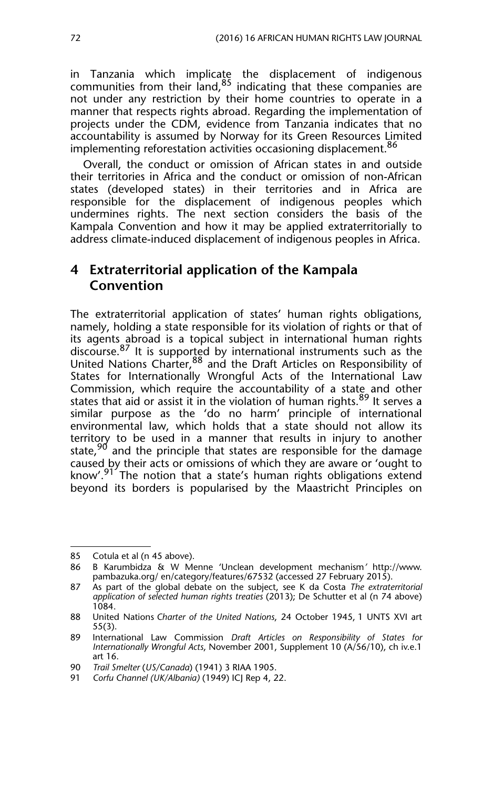in Tanzania which implicate the displacement of indigenous communities from their  $\sinh 85$  indicating that these companies are not under any restriction by their home countries to operate in a manner that respects rights abroad. Regarding the implementation of projects under the CDM, evidence from Tanzania indicates that no accountability is assumed by Norway for its Green Resources Limited implementing reforestation activities occasioning displacement.<sup>86</sup>

Overall, the conduct or omission of African states in and outside their territories in Africa and the conduct or omission of non-African states (developed states) in their territories and in Africa are responsible for the displacement of indigenous peoples which undermines rights. The next section considers the basis of the Kampala Convention and how it may be applied extraterritorially to address climate-induced displacement of indigenous peoples in Africa.

### **4 Extraterritorial application of the Kampala Convention**

The extraterritorial application of states' human rights obligations, namely, holding a state responsible for its violation of rights or that of its agents abroad is a topical subject in international human rights discourse.  $87$  It is supported by international instruments such as the United Nations Charter,<sup>88</sup> and the Draft Articles on Responsibility of States for Internationally Wrongful Acts of the International Law Commission, which require the accountability of a state and other states that aid or assist it in the violation of human rights.<sup>89</sup> It serves a similar purpose as the 'do no harm' principle of international environmental law, which holds that a state should not allow its territory to be used in a manner that results in injury to another state,  $90$  and the principle that states are responsible for the damage caused by their acts or omissions of which they are aware or 'ought to know'.<sup>91'</sup> The notion that a state's human rights obligations extend beyond its borders is popularised by the Maastricht Principles on

<sup>85</sup> Cotula et al (n 45 above).

<sup>86</sup> B Karumbidza & W Menne 'Unclean development mechanism*'* http://www. pambazuka.org/ en/category/features/67532 (accessed 27 February 2015).

<sup>87</sup> As part of the global debate on the subject, see K da Costa *The extraterritorial application of selected human rights treaties* (2013); De Schutter et al (n 74 above) 1084.

<sup>88</sup> United Nations *Charter of the United Nations*, 24 October 1945, 1 UNTS XVI art 55(3).

<sup>89</sup> International Law Commission *Draft Articles on Responsibility of States for Internationally Wrongful Acts*, November 2001, Supplement 10 (A/56/10), ch iv.e.1 art 16.

<sup>90</sup> *Trail Smelter* (*US/Canada*) (1941) 3 RIAA 1905.

<sup>91</sup> *Corfu Channel (UK/Albania)* (1949) ICJ Rep 4, 22.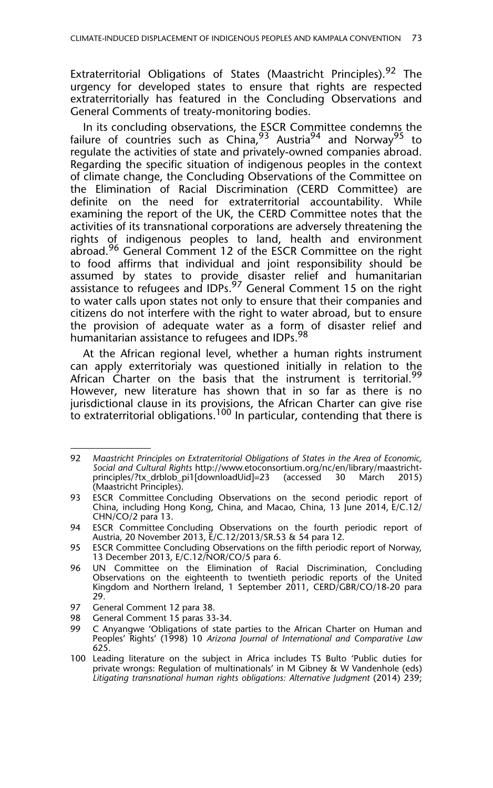Extraterritorial Obligations of States (Maastricht Principles).<sup>92</sup> The urgency for developed states to ensure that rights are respected extraterritorially has featured in the Concluding Observations and General Comments of treaty-monitoring bodies.

In its concluding observations, the ESCR Committee condemns the failure of countries such as  $China<sup>93</sup>$  Austria<sup>94</sup> and Norway<sup>95</sup> to regulate the activities of state and privately-owned companies abroad. Regarding the specific situation of indigenous peoples in the context of climate change, the Concluding Observations of the Committee on the Elimination of Racial Discrimination (CERD Committee) are definite on the need for extraterritorial accountability. While examining the report of the UK, the CERD Committee notes that the activities of its transnational corporations are adversely threatening the rights of indigenous peoples to land, health and environment abroad.<sup>96</sup> General Comment 12 of the ESCR Committee on the right to food affirms that individual and joint responsibility should be assumed by states to provide disaster relief and humanitarian assistance to refugees and IDPs.<sup>97</sup> General Comment 15 on the right to water calls upon states not only to ensure that their companies and citizens do not interfere with the right to water abroad, but to ensure the provision of adequate water as a form of disaster relief and humanitarian assistance to refugees and IDPs.<sup>98</sup>

At the African regional level, whether a human rights instrument can apply exterritorialy was questioned initially in relation to the African Charter on the basis that the instrument is territorial.<sup>99</sup> However, new literature has shown that in so far as there is no jurisdictional clause in its provisions, the African Charter can give rise to extraterritorial obligations.<sup>100</sup> In particular, contending that there is

<sup>92</sup> *Maastricht Principles on Extraterritorial Obligations of States in the Area of Economic, Social and Cultural Rights* http://www.etoconsortium.org/nc/en/library/maastrichtprinciples/?tx\_drblob\_pi1[downloadUid]=23 (Maastricht Principles).

<sup>93</sup> ESCR Committee Concluding Observations on the second periodic report of China, including Hong Kong, China, and Macao, China, 13 June 2014, E/C.12/ CHN/CO/2 para 13.

<sup>94</sup> ESCR Committee Concluding Observations on the fourth periodic report of Austria, 20 November 2013, E/C.12/2013/SR.53 & 54 para 12.

<sup>95</sup> ESCR Committee Concluding Observations on the fifth periodic report of Norway, 13 December 2013, E/C.12/NOR/CO/5 para 6.

<sup>96</sup> UN Committee on the Elimination of Racial Discrimination, Concluding Observations on the eighteenth to twentieth periodic reports of the United Kingdom and Northern Ireland, 1 September 2011, CERD/GBR/CO/18-20 para 29.

<sup>97</sup> General Comment 12 para 38.

<sup>98</sup> General Comment 15 paras 33-34.

<sup>99</sup> C Anyangwe 'Obligations of state parties to the African Charter on Human and Peoples' Rights' (1998) 10 *Arizona Journal of International and Comparative Law* 625.

<sup>100</sup> Leading literature on the subject in Africa includes TS Bulto 'Public duties for private wrongs: Regulation of multinationals' in M Gibney & W Vandenhole (eds) Litigating transnational human rights obligations: Alternative Judgment (2014) 239;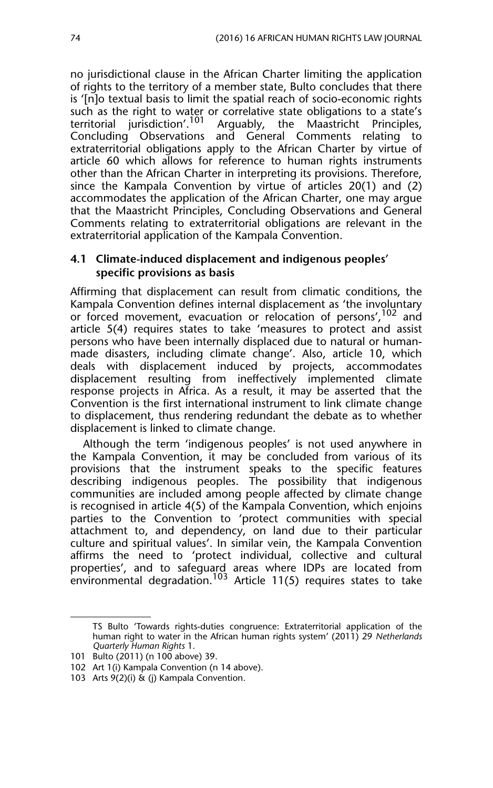no jurisdictional clause in the African Charter limiting the application of rights to the territory of a member state, Bulto concludes that there is '[n]o textual basis to limit the spatial reach of socio-economic rights such as the right to water or correlative state obligations to a state's territorial jurisdiction'.<sup>101</sup> Arguably, the Maastricht Principles. Arguably, the Maastricht Principles, Concluding Observations and General Comments relating to extraterritorial obligations apply to the African Charter by virtue of article 60 which allows for reference to human rights instruments other than the African Charter in interpreting its provisions. Therefore, since the Kampala Convention by virtue of articles 20(1) and (2) accommodates the application of the African Charter, one may argue that the Maastricht Principles, Concluding Observations and General Comments relating to extraterritorial obligations are relevant in the extraterritorial application of the Kampala Convention.

#### **4.1 Climate-induced displacement and indigenous peoples' specific provisions as basis**

Affirming that displacement can result from climatic conditions, the Kampala Convention defines internal displacement as 'the involuntary or forced movement, evacuation or relocation of persons',<sup>102</sup> and article 5(4) requires states to take 'measures to protect and assist persons who have been internally displaced due to natural or humanmade disasters, including climate change'. Also, article 10, which deals with displacement induced by projects, accommodates displacement resulting from ineffectively implemented climate response projects in Africa. As a result, it may be asserted that the Convention is the first international instrument to link climate change to displacement, thus rendering redundant the debate as to whether displacement is linked to climate change.

Although the term 'indigenous peoples' is not used anywhere in the Kampala Convention, it may be concluded from various of its provisions that the instrument speaks to the specific features describing indigenous peoples. The possibility that indigenous communities are included among people affected by climate change is recognised in article 4(5) of the Kampala Convention, which enjoins parties to the Convention to 'protect communities with special attachment to, and dependency, on land due to their particular culture and spiritual values'. In similar vein, the Kampala Convention affirms the need to 'protect individual, collective and cultural properties', and to safeguard areas where IDPs are located from environmental degradation. $^{103}$  Article 11(5) requires states to take

TS Bulto 'Towards rights-duties congruence: Extraterritorial application of the human right to water in the African human rights system' (2011) 29 *Netherlands Quarterly Human Rights* 1.

<sup>101</sup> Bulto (2011) (n 100 above) 39.

<sup>102</sup> Art 1(i) Kampala Convention (n 14 above).

<sup>103</sup> Arts 9(2)(i) & (j) Kampala Convention.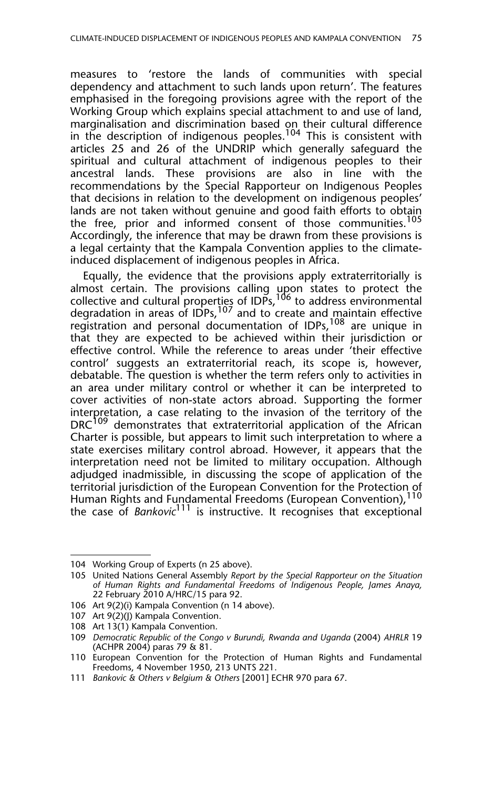measures to 'restore the lands of communities with special dependency and attachment to such lands upon return'. The features emphasised in the foregoing provisions agree with the report of the Working Group which explains special attachment to and use of land, marginalisation and discrimination based on their cultural difference in the description of indigenous peoples.<sup>104</sup> This is consistent with articles 25 and 26 of the UNDRIP which generally safeguard the spiritual and cultural attachment of indigenous peoples to their ancestral lands. These provisions are also in line with the recommendations by the Special Rapporteur on Indigenous Peoples that decisions in relation to the development on indigenous peoples' lands are not taken without genuine and good faith efforts to obtain the free, prior and informed consent of those communities.<sup>105</sup> Accordingly, the inference that may be drawn from these provisions is a legal certainty that the Kampala Convention applies to the climateinduced displacement of indigenous peoples in Africa.

Equally, the evidence that the provisions apply extraterritorially is almost certain. The provisions calling upon states to protect the collective and cultural properties of IDPs, <sup>106</sup> to address environmental degradation in areas of IDPs,<sup>107</sup> and to create and maintain effective registration and personal documentation of IDPs,  $108$  are unique in that they are expected to be achieved within their jurisdiction or effective control. While the reference to areas under 'their effective control' suggests an extraterritorial reach, its scope is, however, debatable. The question is whether the term refers only to activities in an area under military control or whether it can be interpreted to cover activities of non-state actors abroad. Supporting the former interpretation, a case relating to the invasion of the territory of the DRC<sup>109</sup> demonstrates that extraterritorial application of the African Charter is possible, but appears to limit such interpretation to where a state exercises military control abroad. However, it appears that the interpretation need not be limited to military occupation. Although adjudged inadmissible, in discussing the scope of application of the territorial jurisdiction of the European Convention for the Protection of Human Rights and Fundamental Freedoms (European Convention),  $^{\rm 110}$ the case of *Bankovic*<sup>111</sup> is instructive. It recognises that exceptional

<sup>104</sup> Working Group of Experts (n 25 above).

<sup>105</sup> United Nations General Assembly *Report by the Special Rapporteur on the Situation of Human Rights and Fundamental Freedoms of Indigenous People, James Anaya,* 22 February 2010 A/HRC/15 para 92.

<sup>106</sup> Art 9(2)(i) Kampala Convention (n 14 above).

<sup>107</sup> Art 9(2)(J) Kampala Convention.

<sup>108</sup> Art 13(1) Kampala Convention.

<sup>109</sup> *Democratic Republic of the Congo v Burundi, Rwanda and Uganda* (2004) *AHRLR* 19 (ACHPR 2004) paras 79 & 81.

<sup>110</sup> European Convention for the Protection of Human Rights and Fundamental Freedoms, 4 November 1950, 213 UNTS 221.

<sup>111</sup> *Bankovic & Others v Belgium & Others* [2001] ECHR 970 para 67.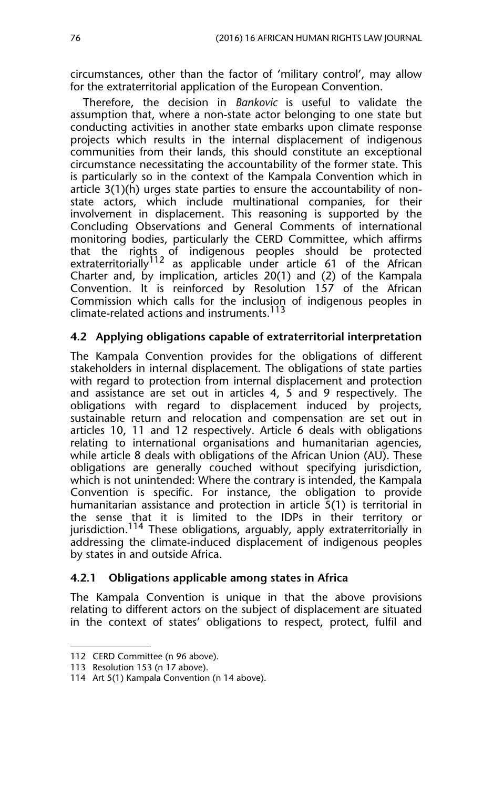circumstances, other than the factor of 'military control', may allow for the extraterritorial application of the European Convention.

Therefore, the decision in *Bankovic* is useful to validate the assumption that, where a non-state actor belonging to one state but conducting activities in another state embarks upon climate response projects which results in the internal displacement of indigenous communities from their lands, this should constitute an exceptional circumstance necessitating the accountability of the former state. This is particularly so in the context of the Kampala Convention which in article 3(1)(h) urges state parties to ensure the accountability of nonstate actors, which include multinational companies, for their involvement in displacement. This reasoning is supported by the Concluding Observations and General Comments of international monitoring bodies, particularly the CERD Committee, which affirms that the rights of indigenous peoples should be protected extraterritorially<sup>112</sup> as applicable under article 61 of the African Charter and, by implication, articles 20(1) and (2) of the Kampala Convention. It is reinforced by Resolution 157 of the African Commission which calls for the inclusion of indigenous peoples in climate-related actions and instruments.<sup>113</sup>

#### **4.2 Applying obligations capable of extraterritorial interpretation**

The Kampala Convention provides for the obligations of different stakeholders in internal displacement. The obligations of state parties with regard to protection from internal displacement and protection and assistance are set out in articles 4, 5 and 9 respectively. The obligations with regard to displacement induced by projects, sustainable return and relocation and compensation are set out in articles 10, 11 and 12 respectively. Article 6 deals with obligations relating to international organisations and humanitarian agencies, while article 8 deals with obligations of the African Union (AU). These obligations are generally couched without specifying jurisdiction, which is not unintended: Where the contrary is intended, the Kampala Convention is specific. For instance, the obligation to provide humanitarian assistance and protection in article  $\overline{5}(1)$  is territorial in the sense that it is limited to the IDPs in their territory or jurisdiction.<sup>114</sup> These obligations, arguably, apply extraterritorially in addressing the climate-induced displacement of indigenous peoples by states in and outside Africa.

#### **4.2.1 Obligations applicable among states in Africa**

The Kampala Convention is unique in that the above provisions relating to different actors on the subject of displacement are situated in the context of states' obligations to respect, protect, fulfil and

<sup>112</sup> CERD Committee (n 96 above).

<sup>113</sup> Resolution 153 (n 17 above).

<sup>114</sup> Art 5(1) Kampala Convention (n 14 above).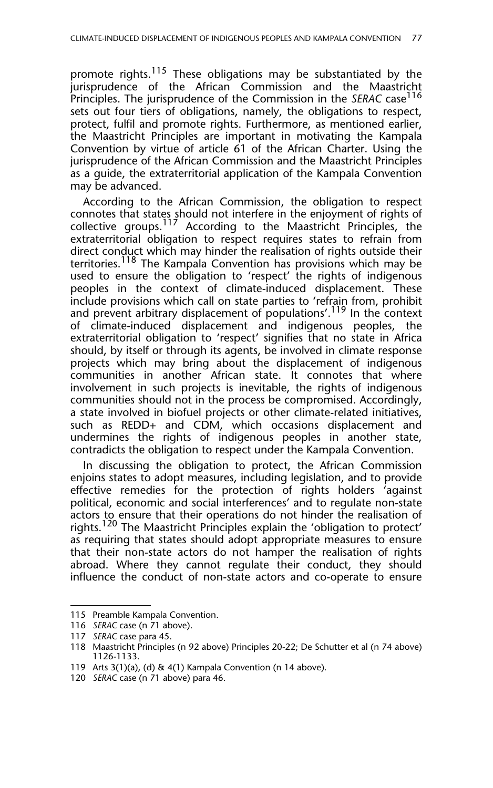promote rights.<sup>115</sup> These obligations may be substantiated by the jurisprudence of the African Commission and the Maastricht Principles. The jurisprudence of the Commission in the *SERAC* case<sup>116</sup> sets out four tiers of obligations, namely, the obligations to respect, protect, fulfil and promote rights. Furthermore, as mentioned earlier, the Maastricht Principles are important in motivating the Kampala Convention by virtue of article 61 of the African Charter. Using the jurisprudence of the African Commission and the Maastricht Principles as a guide, the extraterritorial application of the Kampala Convention may be advanced.

According to the African Commission, the obligation to respect connotes that states should not interfere in the enjoyment of rights of collective groups.<sup>117</sup> According to the Maastricht Principles, the extraterritorial obligation to respect requires states to refrain from direct conduct which may hinder the realisation of rights outside their territories.<sup>118</sup> The Kampala Convention has provisions which may be used to ensure the obligation to 'respect' the rights of indigenous peoples in the context of climate-induced displacement. These include provisions which call on state parties to 'refrain from, prohibit and prevent arbitrary displacement of populations'.<sup>119</sup> In the context of climate-induced displacement and indigenous peoples, the extraterritorial obligation to 'respect' signifies that no state in Africa should, by itself or through its agents, be involved in climate response projects which may bring about the displacement of indigenous communities in another African state. It connotes that where involvement in such projects is inevitable, the rights of indigenous communities should not in the process be compromised. Accordingly, a state involved in biofuel projects or other climate-related initiatives, such as REDD+ and CDM, which occasions displacement and undermines the rights of indigenous peoples in another state, contradicts the obligation to respect under the Kampala Convention.

In discussing the obligation to protect, the African Commission enjoins states to adopt measures, including legislation, and to provide effective remedies for the protection of rights holders 'against political, economic and social interferences' and to regulate non-state actors to ensure that their operations do not hinder the realisation of rights.<sup>120</sup> The Maastricht Principles explain the 'obligation to protect' as requiring that states should adopt appropriate measures to ensure that their non-state actors do not hamper the realisation of rights abroad. Where they cannot regulate their conduct, they should influence the conduct of non-state actors and co-operate to ensure

<sup>115</sup> Preamble Kampala Convention.

<sup>116</sup> *SERAC* case (n 71 above).

<sup>117</sup> *SERAC* case para 45.

<sup>118</sup> Maastricht Principles (n 92 above) Principles 20-22; De Schutter et al (n 74 above) 1126-1133.

<sup>119</sup> Arts 3(1)(a), (d) & 4(1) Kampala Convention (n 14 above).

<sup>120</sup> *SERAC* case (n 71 above) para 46.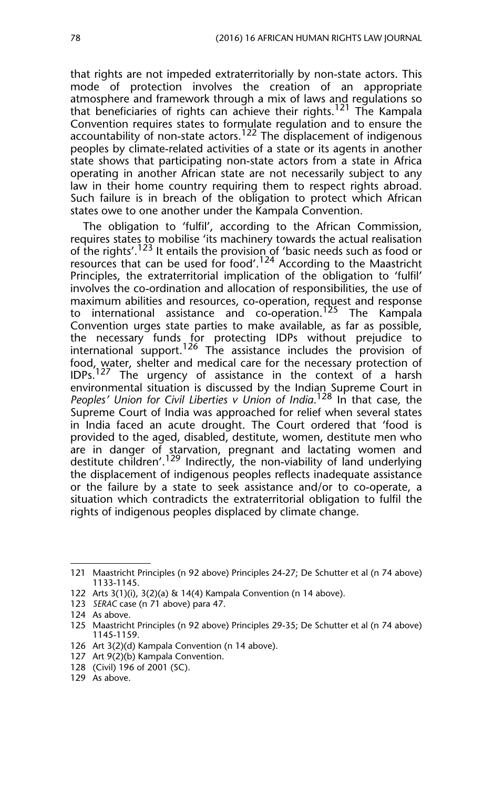that rights are not impeded extraterritorially by non-state actors. This mode of protection involves the creation of an appropriate atmosphere and framework through a mix of laws and regulations so that beneficiaries of rights can achieve their rights.121 The Kampala Convention requires states to formulate regulation and to ensure the accountability of non-state actors.<sup>122</sup> The displacement of indigenous peoples by climate-related activities of a state or its agents in another state shows that participating non-state actors from a state in Africa operating in another African state are not necessarily subject to any law in their home country requiring them to respect rights abroad. Such failure is in breach of the obligation to protect which African states owe to one another under the Kampala Convention.

The obligation to 'fulfil', according to the African Commission, requires states to mobilise 'its machinery towards the actual realisation of the rights'.<sup>123</sup> It entails the provision of 'basic needs such as food or resources that can be used for food'.<sup>124</sup> According to the Maastricht Principles, the extraterritorial implication of the obligation to 'fulfil' involves the co-ordination and allocation of responsibilities, the use of maximum abilities and resources, co-operation, request and response to international assistance and co-operation.<sup>125</sup> The Kampala Convention urges state parties to make available, as far as possible, the necessary funds for protecting IDPs without prejudice to international support.<sup>126</sup> The assistance includes the provision of food, water, shelter and medical care for the necessary protection of  $IDPs.<sup>127</sup>$  The urgency of assistance in the context of a harsh environmental situation is discussed by the Indian Supreme Court in *Peoples' Union for Civil Liberties v Union of India*. 128 In that case*,* the Supreme Court of India was approached for relief when several states in India faced an acute drought. The Court ordered that 'food is provided to the aged, disabled, destitute, women, destitute men who are in danger of starvation, pregnant and lactating women and destitute children'.129 Indirectly, the non-viability of land underlying the displacement of indigenous peoples reflects inadequate assistance or the failure by a state to seek assistance and/or to co-operate, a situation which contradicts the extraterritorial obligation to fulfil the rights of indigenous peoples displaced by climate change.

<sup>121</sup> Maastricht Principles (n 92 above) Principles 24-27; De Schutter et al (n 74 above) 1133-1145.

<sup>122</sup> Arts 3(1)(i), 3(2)(a) & 14(4) Kampala Convention (n 14 above).

<sup>123</sup> *SERAC* case (n 71 above) para 47.

<sup>124</sup> As above.

<sup>125</sup> Maastricht Principles (n 92 above) Principles 29-35; De Schutter et al (n 74 above) 1145-1159.

<sup>126</sup> Art 3(2)(d) Kampala Convention (n 14 above).

<sup>127</sup> Art 9(2)(b) Kampala Convention.

<sup>128 (</sup>Civil) 196 of 2001 (SC).

<sup>129</sup> As above.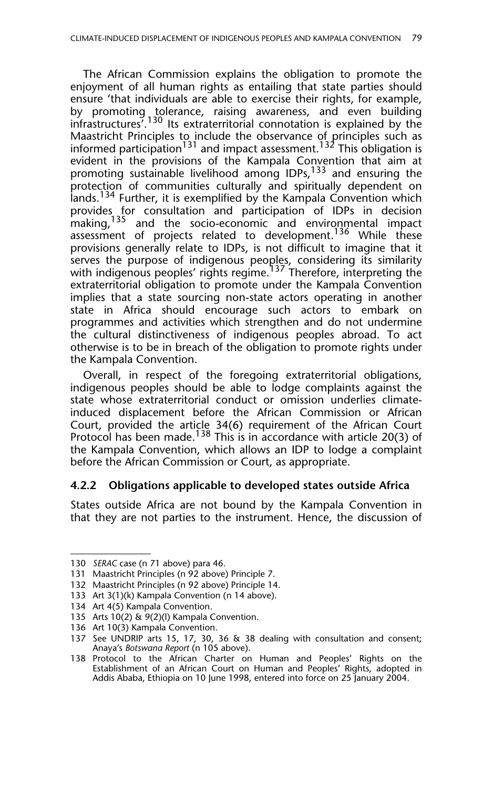The African Commission explains the obligation to promote the enjoyment of all human rights as entailing that state parties should ensure 'that individuals are able to exercise their rights, for example, by promoting tolerance, raising awareness, and even building infrastructures<sup>7.130</sup> Its extraterritorial connotation is explained by the Maastricht Principles to include the observance of principles such as informed participation $^{131}$  and impact assessment. $^{132}$  This obligation is evident in the provisions of the Kampala Convention that aim at promoting sustainable livelihood among IDPs,<sup>133</sup> and ensuring the protection of communities culturally and spiritually dependent on lands.<sup>134</sup> Further, it is exemplified by the Kampala Convention which provides for consultation and participation of IDPs in decision making,<sup>135</sup> and the socio-economic and environmental impact assessment of projects related to development.<sup>136</sup> While these provisions generally relate to IDPs, is not difficult to imagine that it serves the purpose of indigenous peoples, considering its similarity with indigenous peoples' rights regime.<sup>137</sup> Therefore, interpreting the extraterritorial obligation to promote under the Kampala Convention implies that a state sourcing non-state actors operating in another state in Africa should encourage such actors to embark on programmes and activities which strengthen and do not undermine the cultural distinctiveness of indigenous peoples abroad. To act otherwise is to be in breach of the obligation to promote rights under the Kampala Convention.

Overall, in respect of the foregoing extraterritorial obligations, indigenous peoples should be able to lodge complaints against the state whose extraterritorial conduct or omission underlies climateinduced displacement before the African Commission or African Court, provided the article 34(6) requirement of the African Court Protocol has been made.<sup>138</sup> This is in accordance with article 20(3) of the Kampala Convention, which allows an IDP to lodge a complaint before the African Commission or Court, as appropriate.

#### **4.2.2 Obligations applicable to developed states outside Africa**

States outside Africa are not bound by the Kampala Convention in that they are not parties to the instrument. Hence, the discussion of

<sup>130</sup> *SERAC* case (n 71 above) para 46.

<sup>131</sup> Maastricht Principles (n 92 above) Principle 7.

<sup>132</sup> Maastricht Principles (n 92 above) Principle 14.

<sup>133</sup> Art 3(1)(k) Kampala Convention (n 14 above).

<sup>134</sup> Art 4(5) Kampala Convention.

<sup>135</sup> Arts 10(2) & 9(2)(l) Kampala Convention.

<sup>136</sup> Art 10(3) Kampala Convention.

<sup>137</sup> See UNDRIP arts 15, 17, 30, 36 & 38 dealing with consultation and consent; Anaya's *Botswana Report* (n 105 above).

<sup>138</sup> Protocol to the African Charter on Human and Peoples' Rights on the Establishment of an African Court on Human and Peoples' Rights, adopted in Addis Ababa, Ethiopia on 10 June 1998, entered into force on 25 January 2004.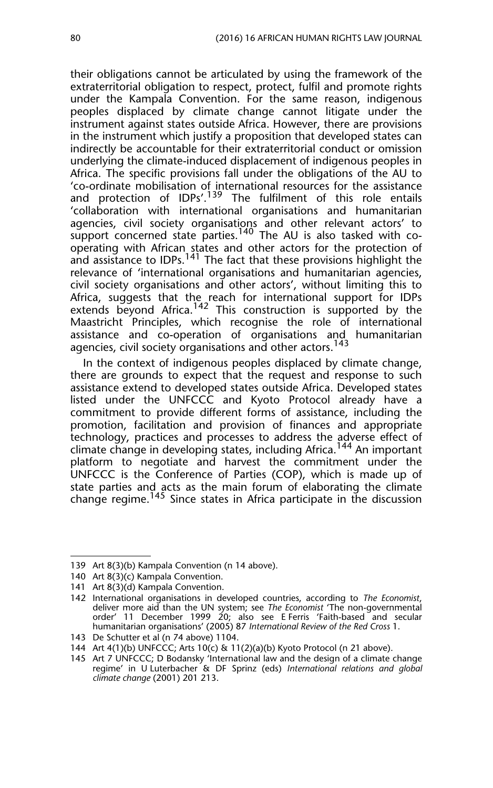their obligations cannot be articulated by using the framework of the extraterritorial obligation to respect, protect, fulfil and promote rights under the Kampala Convention. For the same reason, indigenous peoples displaced by climate change cannot litigate under the instrument against states outside Africa. However, there are provisions in the instrument which justify a proposition that developed states can indirectly be accountable for their extraterritorial conduct or omission underlying the climate-induced displacement of indigenous peoples in Africa. The specific provisions fall under the obligations of the AU to 'co-ordinate mobilisation of international resources for the assistance and protection of IDPs'.<sup>139</sup> The fulfilment of this role entails 'collaboration with international organisations and humanitarian agencies, civil society organisations and other relevant actors' to support concerned state parties.<sup>140</sup> The AU is also tasked with cooperating with African states and other actors for the protection of and assistance to IDPs.<sup>141</sup> The fact that these provisions highlight the relevance of 'international organisations and humanitarian agencies, civil society organisations and other actors', without limiting this to Africa, suggests that the reach for international support for IDPs extends beyond Africa.<sup>142</sup> This construction is supported by the Maastricht Principles, which recognise the role of international assistance and co-operation of organisations and humanitarian agencies, civil society organisations and other actors.<sup>143</sup>

In the context of indigenous peoples displaced by climate change, there are grounds to expect that the request and response to such assistance extend to developed states outside Africa. Developed states listed under the UNFCCC and Kyoto Protocol already have a commitment to provide different forms of assistance, including the promotion, facilitation and provision of finances and appropriate technology, practices and processes to address the adverse effect of climate change in developing states, including Africa.<sup>144</sup> An important platform to negotiate and harvest the commitment under the UNFCCC is the Conference of Parties (COP), which is made up of state parties and acts as the main forum of elaborating the climate change regime.<sup>145</sup> Since states in Africa participate in the discussion

<sup>139</sup> Art 8(3)(b) Kampala Convention (n 14 above).

<sup>140</sup> Art 8(3)(c) Kampala Convention.

<sup>141</sup> Art 8(3)(d) Kampala Convention.

<sup>142</sup> International organisations in developed countries, according to *The Economist*, deliver more aid than the UN system; see *The Economist* 'The non-governmental order' 11 December 1999 20; also see E Ferris 'Faith-based and secular humanitarian organisations' (2005) 87 *International Review of the Red Cross* 1.

<sup>143</sup> De Schutter et al (n 74 above) 1104.

<sup>144</sup> Art 4(1)(b) UNFCCC; Arts 10(c) & 11(2)(a)(b) Kyoto Protocol (n 21 above).

<sup>145</sup> Art 7 UNFCCC; D Bodansky 'International law and the design of a climate change regime' in U Luterbacher & DF Sprinz (eds) *International relations and global climate change* (2001) 201 213.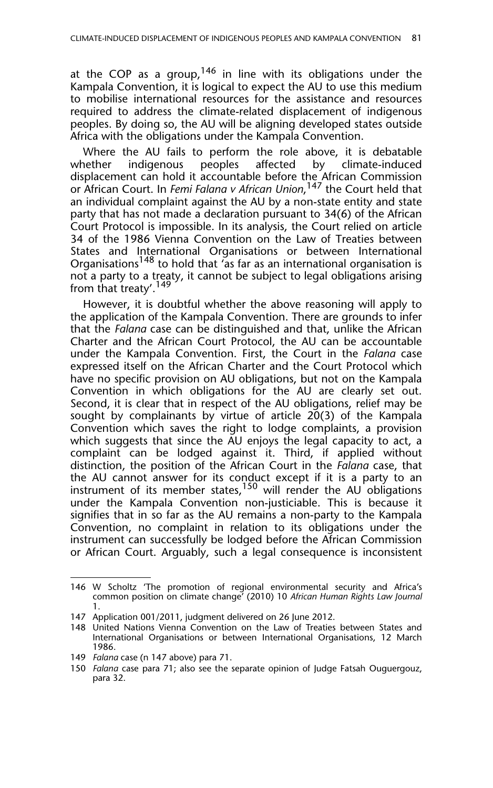at the COP as a group,  $146$  in line with its obligations under the Kampala Convention, it is logical to expect the AU to use this medium to mobilise international resources for the assistance and resources required to address the climate-related displacement of indigenous peoples. By doing so, the AU will be aligning developed states outside Africa with the obligations under the Kampala Convention.

Where the AU fails to perform the role above, it is debatable whether indigenous peoples affected by climate-induced displacement can hold it accountable before the African Commission or African Court. In *Femi Falana v African Union*, 147 the Court held that an individual complaint against the AU by a non-state entity and state party that has not made a declaration pursuant to 34(6) of the African Court Protocol is impossible. In its analysis, the Court relied on article 34 of the 1986 Vienna Convention on the Law of Treaties between States and International Organisations or between International Organisations148 to hold that 'as far as an international organisation is not a party to a treaty, it cannot be subject to legal obligations arising from that treaty'.<sup>149</sup>

However, it is doubtful whether the above reasoning will apply to the application of the Kampala Convention. There are grounds to infer that the *Falana* case can be distinguished and that, unlike the African Charter and the African Court Protocol, the AU can be accountable under the Kampala Convention. First, the Court in the *Falana* case expressed itself on the African Charter and the Court Protocol which have no specific provision on AU obligations, but not on the Kampala Convention in which obligations for the AU are clearly set out. Second, it is clear that in respect of the AU obligations, relief may be sought by complainants by virtue of article 20(3) of the Kampala Convention which saves the right to lodge complaints, a provision which suggests that since the AU enjoys the legal capacity to act, a complaint can be lodged against it. Third, if applied without distinction, the position of the African Court in the *Falana* case, that the AU cannot answer for its conduct except if it is a party to an instrument of its member states,<sup>150</sup> will render the AU obligations under the Kampala Convention non-justiciable. This is because it signifies that in so far as the AU remains a non-party to the Kampala Convention, no complaint in relation to its obligations under the instrument can successfully be lodged before the African Commission or African Court. Arguably, such a legal consequence is inconsistent

<sup>146</sup> W Scholtz 'The promotion of regional environmental security and Africa's common position on climate change' (2010) 10 *African Human Rights Law Journal* 1.

<sup>147</sup> Application 001/2011, judgment delivered on 26 June 2012.

<sup>148</sup> United Nations Vienna Convention on the Law of Treaties between States and International Organisations or between International Organisations, 12 March 1986.

<sup>149</sup> *Falana* case (n 147 above) para 71.

<sup>150</sup> *Falana* case para 71; also see the separate opinion of Judge Fatsah Ouguergouz, para 32.